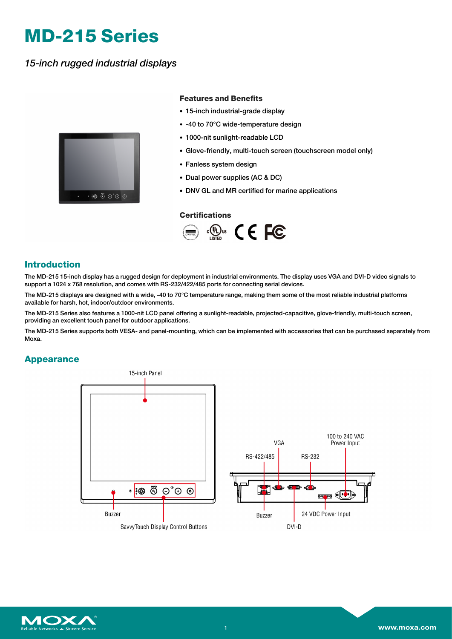# **MD-215 Series**

*15-inch rugged industrial displays*



### **Features and Benefits**

- 15-inch industrial-grade display
- -40 to 70°C wide-temperature design
- 1000-nit sunlight-readable LCD
- Glove-friendly, multi-touch screen (touchscreen model only)
- Fanless system design
- Dual power supplies (AC & DC)
- DNV GL and MR certified for marine applications

#### **Certifications**



## **Introduction**

The MD-215 15-inch display has a rugged design for deployment in industrial environments. The display uses VGA and DVI-D video signals to support a 1024 x 768 resolution, and comes with RS-232/422/485 ports for connecting serial devices.

The MD-215 displays are designed with a wide, -40 to 70°C temperature range, making them some of the most reliable industrial platforms available for harsh, hot, indoor/outdoor environments.

The MD-215 Series also features a 1000-nit LCD panel offering a sunlight-readable, projected-capacitive, glove-friendly, multi-touch screen, providing an excellent touch panel for outdoor applications.

The MD-215 Series supports both VESA- and panel-mounting, which can be implemented with accessories that can be purchased separately from Moxa.

## **Appearance**



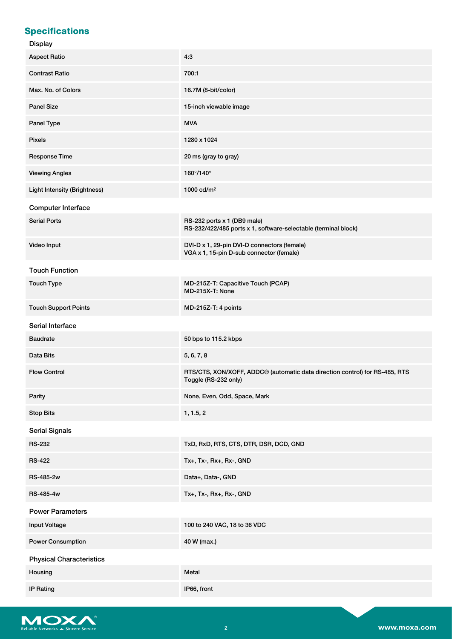# **Specifications**

#### Display

| piopiuj                             |                                                                                                                 |  |  |
|-------------------------------------|-----------------------------------------------------------------------------------------------------------------|--|--|
| <b>Aspect Ratio</b>                 | 4:3                                                                                                             |  |  |
| <b>Contrast Ratio</b>               | 700:1                                                                                                           |  |  |
| Max. No. of Colors                  | 16.7M (8-bit/color)                                                                                             |  |  |
| <b>Panel Size</b>                   | 15-inch viewable image                                                                                          |  |  |
| Panel Type                          | <b>MVA</b>                                                                                                      |  |  |
| <b>Pixels</b>                       | 1280 x 1024                                                                                                     |  |  |
| Response Time                       | 20 ms (gray to gray)                                                                                            |  |  |
| <b>Viewing Angles</b>               | $160^\circ/140^\circ$                                                                                           |  |  |
| <b>Light Intensity (Brightness)</b> | 1000 cd/m <sup>2</sup>                                                                                          |  |  |
| Computer Interface                  |                                                                                                                 |  |  |
| <b>Serial Ports</b>                 | RS-232 ports x 1 (DB9 male)<br>RS-232/422/485 ports x 1, software-selectable (terminal block)                   |  |  |
| Video Input                         | DVI-D x 1, 29-pin DVI-D connectors (female)<br>VGA x 1, 15-pin D-sub connector (female)                         |  |  |
| <b>Touch Function</b>               |                                                                                                                 |  |  |
| <b>Touch Type</b>                   | MD-215Z-T: Capacitive Touch (PCAP)<br>MD-215X-T: None                                                           |  |  |
| <b>Touch Support Points</b>         | MD-215Z-T: 4 points                                                                                             |  |  |
| Serial Interface                    |                                                                                                                 |  |  |
| <b>Baudrate</b>                     | 50 bps to 115.2 kbps                                                                                            |  |  |
| Data Bits                           | 5, 6, 7, 8                                                                                                      |  |  |
| <b>Flow Control</b>                 | RTS/CTS, XON/XOFF, ADDC <sup>®</sup> (automatic data direction control) for RS-485, RTS<br>Toggle (RS-232 only) |  |  |
| Parity                              | None, Even, Odd, Space, Mark                                                                                    |  |  |
| <b>Stop Bits</b>                    | 1, 1.5, 2                                                                                                       |  |  |
| <b>Serial Signals</b>               |                                                                                                                 |  |  |
| <b>RS-232</b>                       | TxD, RxD, RTS, CTS, DTR, DSR, DCD, GND                                                                          |  |  |
| <b>RS-422</b>                       | Tx+, Tx-, Rx+, Rx-, GND                                                                                         |  |  |
| RS-485-2w                           | Data+, Data-, GND                                                                                               |  |  |
| RS-485-4w                           | Tx+, Tx-, Rx+, Rx-, GND                                                                                         |  |  |
| <b>Power Parameters</b>             |                                                                                                                 |  |  |
| Input Voltage                       | 100 to 240 VAC, 18 to 36 VDC                                                                                    |  |  |
| <b>Power Consumption</b>            | 40 W (max.)                                                                                                     |  |  |
| <b>Physical Characteristics</b>     |                                                                                                                 |  |  |
| Housing                             | Metal                                                                                                           |  |  |
| <b>IP Rating</b>                    | IP66, front                                                                                                     |  |  |

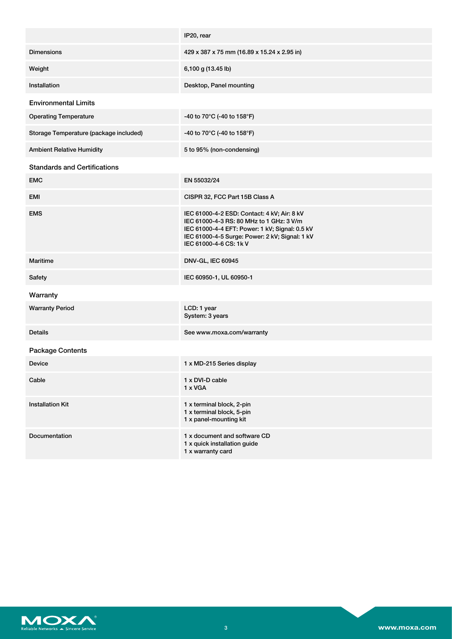|                                        | IP20, rear                                                                                                                                                                                                            |  |  |
|----------------------------------------|-----------------------------------------------------------------------------------------------------------------------------------------------------------------------------------------------------------------------|--|--|
| <b>Dimensions</b>                      | 429 x 387 x 75 mm (16.89 x 15.24 x 2.95 in)                                                                                                                                                                           |  |  |
| Weight                                 | 6,100 g (13.45 lb)                                                                                                                                                                                                    |  |  |
| Installation                           | Desktop, Panel mounting                                                                                                                                                                                               |  |  |
| <b>Environmental Limits</b>            |                                                                                                                                                                                                                       |  |  |
| <b>Operating Temperature</b>           | -40 to 70°C (-40 to 158°F)                                                                                                                                                                                            |  |  |
| Storage Temperature (package included) | -40 to 70°C (-40 to 158°F)                                                                                                                                                                                            |  |  |
| <b>Ambient Relative Humidity</b>       | 5 to 95% (non-condensing)                                                                                                                                                                                             |  |  |
| <b>Standards and Certifications</b>    |                                                                                                                                                                                                                       |  |  |
| <b>EMC</b>                             | EN 55032/24                                                                                                                                                                                                           |  |  |
| EMI                                    | CISPR 32, FCC Part 15B Class A                                                                                                                                                                                        |  |  |
| <b>EMS</b>                             | IEC 61000-4-2 ESD: Contact: 4 kV; Air: 8 kV<br>IEC 61000-4-3 RS: 80 MHz to 1 GHz: 3 V/m<br>IEC 61000-4-4 EFT: Power: 1 kV; Signal: 0.5 kV<br>IEC 61000-4-5 Surge: Power: 2 kV; Signal: 1 kV<br>IEC 61000-4-6 CS: 1k V |  |  |
| Maritime                               | <b>DNV-GL, IEC 60945</b>                                                                                                                                                                                              |  |  |
| Safety                                 | IEC 60950-1, UL 60950-1                                                                                                                                                                                               |  |  |
| Warranty                               |                                                                                                                                                                                                                       |  |  |
| <b>Warranty Period</b>                 | LCD: 1 year<br>System: 3 years                                                                                                                                                                                        |  |  |
| <b>Details</b>                         | See www.moxa.com/warranty                                                                                                                                                                                             |  |  |
| Package Contents                       |                                                                                                                                                                                                                       |  |  |
| <b>Device</b>                          | 1 x MD-215 Series display                                                                                                                                                                                             |  |  |
| Cable                                  | 1 x DVI-D cable<br>1 x VGA                                                                                                                                                                                            |  |  |
| <b>Installation Kit</b>                | 1 x terminal block, 2-pin<br>1 x terminal block, 5-pin<br>1 x panel-mounting kit                                                                                                                                      |  |  |
| Documentation                          | 1 x document and software CD<br>1 x quick installation guide<br>1 x warranty card                                                                                                                                     |  |  |